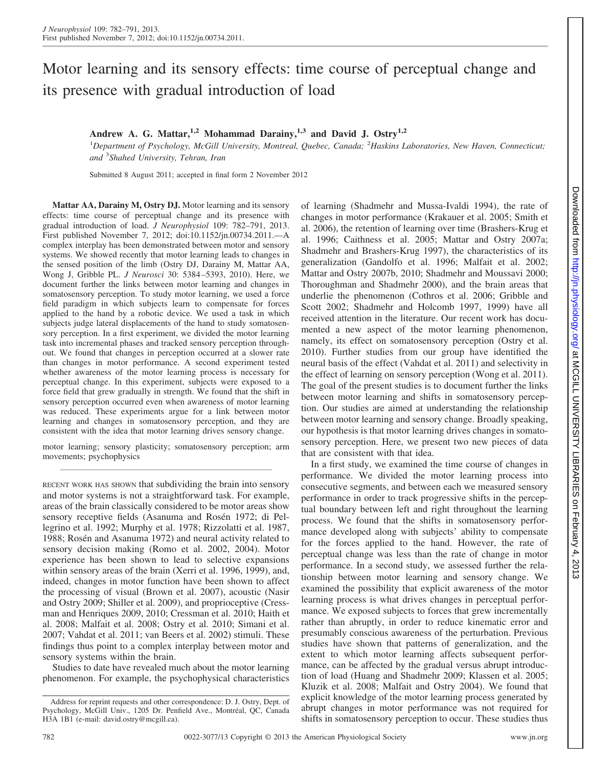# Motor learning and its sensory effects: time course of perceptual change and its presence with gradual introduction of load

## **Andrew A. G. Mattar,1,2 Mohammad Darainy,1,3 and David J. Ostry1,2**

1 *Department of Psychology, McGill University, Montreal, Quebec, Canada;* <sup>2</sup> *Haskins Laboratories, New Haven, Connecticut; and* <sup>3</sup> *Shahed University, Tehran, Iran*

Submitted 8 August 2011; accepted in final form 2 November 2012

**Mattar AA, Darainy M, Ostry DJ.** Motor learning and its sensory effects: time course of perceptual change and its presence with gradual introduction of load. *J Neurophysiol* 109: 782–791, 2013. First published November 7, 2012; doi:10.1152/jn.00734.2011.—A complex interplay has been demonstrated between motor and sensory systems. We showed recently that motor learning leads to changes in the sensed position of the limb (Ostry DJ, Darainy M, Mattar AA, Wong J, Gribble PL. *J Neurosci* 30: 5384 –5393, 2010). Here, we document further the links between motor learning and changes in somatosensory perception. To study motor learning, we used a force field paradigm in which subjects learn to compensate for forces applied to the hand by a robotic device. We used a task in which subjects judge lateral displacements of the hand to study somatosensory perception. In a first experiment, we divided the motor learning task into incremental phases and tracked sensory perception throughout. We found that changes in perception occurred at a slower rate than changes in motor performance. A second experiment tested whether awareness of the motor learning process is necessary for perceptual change. In this experiment, subjects were exposed to a force field that grew gradually in strength. We found that the shift in sensory perception occurred even when awareness of motor learning was reduced. These experiments argue for a link between motor learning and changes in somatosensory perception, and they are consistent with the idea that motor learning drives sensory change.

motor learning; sensory plasticity; somatosensory perception; arm movements; psychophysics

RECENT WORK HAS SHOWN that subdividing the brain into sensory and motor systems is not a straightforward task. For example, areas of the brain classically considered to be motor areas show sensory receptive fields (Asanuma and Rosén 1972; di Pellegrino et al. 1992; Murphy et al. 1978; Rizzolatti et al. 1987, 1988; Rosén and Asanuma 1972) and neural activity related to sensory decision making (Romo et al. 2002, 2004). Motor experience has been shown to lead to selective expansions within sensory areas of the brain (Xerri et al. 1996, 1999), and, indeed, changes in motor function have been shown to affect the processing of visual (Brown et al. 2007), acoustic (Nasir and Ostry 2009; Shiller et al. 2009), and proprioceptive (Cressman and Henriques 2009, 2010; Cressman et al. 2010; Haith et al. 2008; Malfait et al. 2008; Ostry et al. 2010; Simani et al. 2007; Vahdat et al. 2011; van Beers et al. 2002) stimuli. These findings thus point to a complex interplay between motor and sensory systems within the brain.

Studies to date have revealed much about the motor learning phenomenon. For example, the psychophysical characteristics of learning (Shadmehr and Mussa-Ivaldi 1994), the rate of changes in motor performance (Krakauer et al. 2005; Smith et al. 2006), the retention of learning over time (Brashers-Krug et al. 1996; Caithness et al. 2005; Mattar and Ostry 2007a; Shadmehr and Brashers-Krug 1997), the characteristics of its generalization (Gandolfo et al. 1996; Malfait et al. 2002; Mattar and Ostry 2007b, 2010; Shadmehr and Moussavi 2000; Thoroughman and Shadmehr 2000), and the brain areas that underlie the phenomenon (Cothros et al. 2006; Gribble and Scott 2002; Shadmehr and Holcomb 1997, 1999) have all received attention in the literature. Our recent work has documented a new aspect of the motor learning phenomenon, namely, its effect on somatosensory perception (Ostry et al. 2010). Further studies from our group have identified the neural basis of the effect (Vahdat et al. 2011) and selectivity in the effect of learning on sensory perception (Wong et al. 2011). The goal of the present studies is to document further the links between motor learning and shifts in somatosensory perception. Our studies are aimed at understanding the relationship between motor learning and sensory change. Broadly speaking, our hypothesis is that motor learning drives changes in somatosensory perception. Here, we present two new pieces of data that are consistent with that idea.

In a first study, we examined the time course of changes in performance. We divided the motor learning process into consecutive segments, and between each we measured sensory performance in order to track progressive shifts in the perceptual boundary between left and right throughout the learning process. We found that the shifts in somatosensory performance developed along with subjects' ability to compensate for the forces applied to the hand. However, the rate of perceptual change was less than the rate of change in motor performance. In a second study, we assessed further the relationship between motor learning and sensory change. We examined the possibility that explicit awareness of the motor learning process is what drives changes in perceptual performance. We exposed subjects to forces that grew incrementally rather than abruptly, in order to reduce kinematic error and presumably conscious awareness of the perturbation. Previous studies have shown that patterns of generalization, and the extent to which motor learning affects subsequent performance, can be affected by the gradual versus abrupt introduction of load (Huang and Shadmehr 2009; Klassen et al. 2005; Kluzik et al. 2008; Malfait and Ostry 2004). We found that explicit knowledge of the motor learning process generated by abrupt changes in motor performance was not required for shifts in somatosensory perception to occur. These studies thus

Address for reprint requests and other correspondence: D. J. Ostry, Dept. of Psychology, McGill Univ., 1205 Dr. Penfield Ave., Montréal, QC, Canada H3A 1B1 (e-mail: david.ostry@mcgill.ca).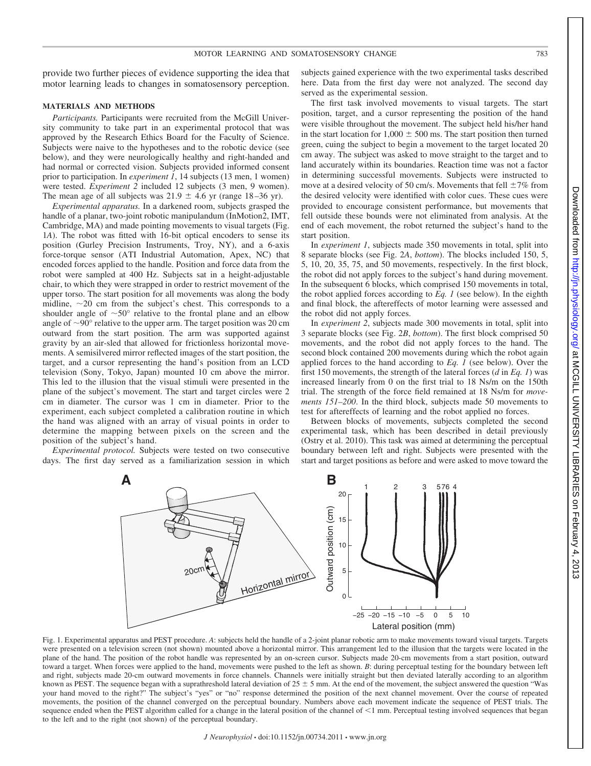provide two further pieces of evidence supporting the idea that motor learning leads to changes in somatosensory perception.

#### **MATERIALS AND METHODS**

*Participants.* Participants were recruited from the McGill University community to take part in an experimental protocol that was approved by the Research Ethics Board for the Faculty of Science. Subjects were naive to the hypotheses and to the robotic device (see below), and they were neurologically healthy and right-handed and had normal or corrected vision. Subjects provided informed consent prior to participation. In *experiment 1*, 14 subjects (13 men, 1 women) were tested. *Experiment 2* included 12 subjects (3 men, 9 women). The mean age of all subjects was  $21.9 \pm 4.6$  yr (range 18–36 yr).

*Experimental apparatus.* In a darkened room, subjects grasped the handle of a planar, two-joint robotic manipulandum (InMotion2, IMT, Cambridge, MA) and made pointing movements to visual targets (Fig. 1*A*). The robot was fitted with 16-bit optical encoders to sense its position (Gurley Precision Instruments, Troy, NY), and a 6-axis force-torque sensor (ATI Industrial Automation, Apex, NC) that encoded forces applied to the handle. Position and force data from the robot were sampled at 400 Hz. Subjects sat in a height-adjustable chair, to which they were strapped in order to restrict movement of the upper torso. The start position for all movements was along the body midline,  $\sim$  20 cm from the subject's chest. This corresponds to a shoulder angle of  $\sim 50^{\circ}$  relative to the frontal plane and an elbow angle of  $\sim$ 90 $^{\circ}$  relative to the upper arm. The target position was 20 cm outward from the start position. The arm was supported against gravity by an air-sled that allowed for frictionless horizontal movements. A semisilvered mirror reflected images of the start position, the target, and a cursor representing the hand's position from an LCD television (Sony, Tokyo, Japan) mounted 10 cm above the mirror. This led to the illusion that the visual stimuli were presented in the plane of the subject's movement. The start and target circles were 2 cm in diameter. The cursor was 1 cm in diameter. Prior to the experiment, each subject completed a calibration routine in which the hand was aligned with an array of visual points in order to determine the mapping between pixels on the screen and the position of the subject's hand.

*Experimental protocol.* Subjects were tested on two consecutive days. The first day served as a familiarization session in which

subjects gained experience with the two experimental tasks described here. Data from the first day were not analyzed. The second day served as the experimental session.

The first task involved movements to visual targets. The start position, target, and a cursor representing the position of the hand were visible throughout the movement. The subject held his/her hand in the start location for  $1,000 \pm 500$  ms. The start position then turned green, cuing the subject to begin a movement to the target located 20 cm away. The subject was asked to move straight to the target and to land accurately within its boundaries. Reaction time was not a factor in determining successful movements. Subjects were instructed to move at a desired velocity of 50 cm/s. Movements that fell  $\pm 7\%$  from the desired velocity were identified with color cues. These cues were provided to encourage consistent performance, but movements that fell outside these bounds were not eliminated from analysis. At the end of each movement, the robot returned the subject's hand to the start position.

In *experiment 1*, subjects made 350 movements in total, split into 8 separate blocks (see Fig. 2*A*, *bottom*). The blocks included 150, 5, 5, 10, 20, 35, 75, and 50 movements, respectively. In the first block, the robot did not apply forces to the subject's hand during movement. In the subsequent 6 blocks, which comprised 150 movements in total, the robot applied forces according to *Eq. 1* (see below). In the eighth and final block, the aftereffects of motor learning were assessed and the robot did not apply forces.

In *experiment 2*, subjects made 300 movements in total, split into 3 separate blocks (see Fig. 2*B*, *bottom*). The first block comprised 50 movements, and the robot did not apply forces to the hand. The second block contained 200 movements during which the robot again applied forces to the hand according to *Eq. 1* (see below). Over the first 150 movements, the strength of the lateral forces (*d* in *Eq. 1*) was increased linearly from 0 on the first trial to 18 Ns/m on the 150th trial. The strength of the force field remained at 18 Ns/m for *movements 151–200*. In the third block, subjects made 50 movements to test for aftereffects of learning and the robot applied no forces.

Between blocks of movements, subjects completed the second experimental task, which has been described in detail previously (Ostry et al. 2010). This task was aimed at determining the perceptual boundary between left and right. Subjects were presented with the start and target positions as before and were asked to move toward the



Fig. 1. Experimental apparatus and PEST procedure. *A*: subjects held the handle of a 2-joint planar robotic arm to make movements toward visual targets. Targets were presented on a television screen (not shown) mounted above a horizontal mirror. This arrangement led to the illusion that the targets were located in the plane of the hand. The position of the robot handle was represented by an on-screen cursor. Subjects made 20-cm movements from a start position, outward toward a target. When forces were applied to the hand, movements were pushed to the left as shown. *B*: during perceptual testing for the boundary between left and right, subjects made 20-cm outward movements in force channels. Channels were initially straight but then deviated laterally according to an algorithm known as PEST. The sequence began with a suprathreshold lateral deviation of  $25 \pm 5$  mm. At the end of the movement, the subject answered the question "Was your hand moved to the right?" The subject's "yes" or "no" response determined the position of the next channel movement. Over the course of repeated movements, the position of the channel converged on the perceptual boundary. Numbers above each movement indicate the sequence of PEST trials. The sequence ended when the PEST algorithm called for a change in the lateral position of the channel of  $\leq 1$  mm. Perceptual testing involved sequences that began to the left and to the right (not shown) of the perceptual boundary.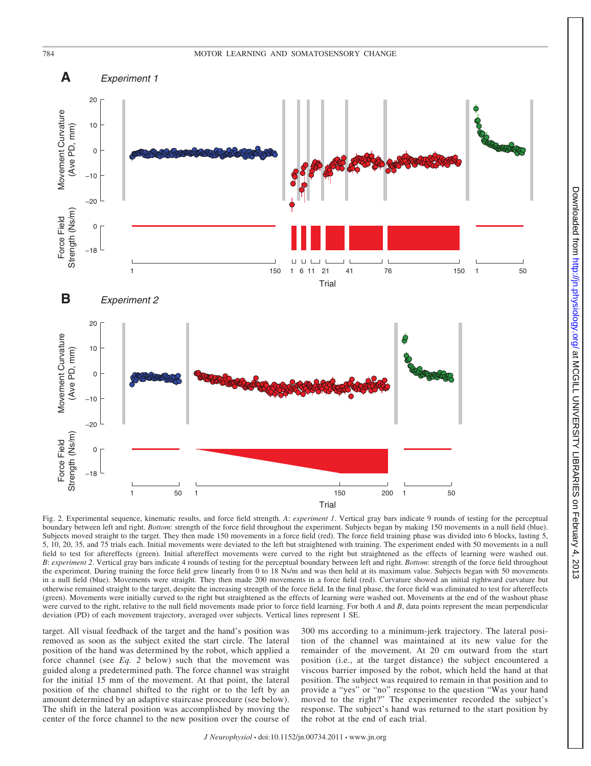784 MOTOR LEARNING AND SOMATOSENSORY CHANGE



 $.2013$ 

Fig. 2. Experimental sequence, kinematic results, and force field strength. *A*: *experiment 1*. Vertical gray bars indicate 9 rounds of testing for the perceptual boundary between left and right. *Bottom*: strength of the force field throughout the experiment. Subjects began by making 150 movements in a null field (blue). Subjects moved straight to the target. They then made 150 movements in a force field (red). The force field training phase was divided into 6 blocks, lasting 5, 5, 10, 20, 35, and 75 trials each. Initial movements were deviated to the left but straightened with training. The experiment ended with 50 movements in a null field to test for aftereffects (green). Initial aftereffect movements were curved to the right but straightened as the effects of learning were washed out. *B*: *experiment 2*. Vertical gray bars indicate 4 rounds of testing for the perceptual boundary between left and right. *Bottom*: strength of the force field throughout the experiment. During training the force field grew linearly from 0 to 18 Ns/m and was then held at its maximum value. Subjects began with 50 movements in a null field (blue). Movements were straight. They then made 200 movements in a force field (red). Curvature showed an initial rightward curvature but otherwise remained straight to the target, despite the increasing strength of the force field. In the final phase, the force field was eliminated to test for aftereffects (green). Movements were initially curved to the right but straightened as the effects of learning were washed out. Movements at the end of the washout phase were curved to the right, relative to the null field movements made prior to force field learning. For both *A* and *B*, data points represent the mean perpendicular deviation (PD) of each movement trajectory, averaged over subjects. Vertical lines represent 1 SE.

target. All visual feedback of the target and the hand's position was removed as soon as the subject exited the start circle. The lateral position of the hand was determined by the robot, which applied a force channel (see *Eq. 2* below) such that the movement was guided along a predetermined path. The force channel was straight for the initial 15 mm of the movement. At that point, the lateral position of the channel shifted to the right or to the left by an amount determined by an adaptive staircase procedure (see below). The shift in the lateral position was accomplished by moving the center of the force channel to the new position over the course of

300 ms according to a minimum-jerk trajectory. The lateral position of the channel was maintained at its new value for the remainder of the movement. At 20 cm outward from the start position (i.e., at the target distance) the subject encountered a viscous barrier imposed by the robot, which held the hand at that position. The subject was required to remain in that position and to provide a "yes" or "no" response to the question "Was your hand moved to the right?" The experimenter recorded the subject's response. The subject's hand was returned to the start position by the robot at the end of each trial.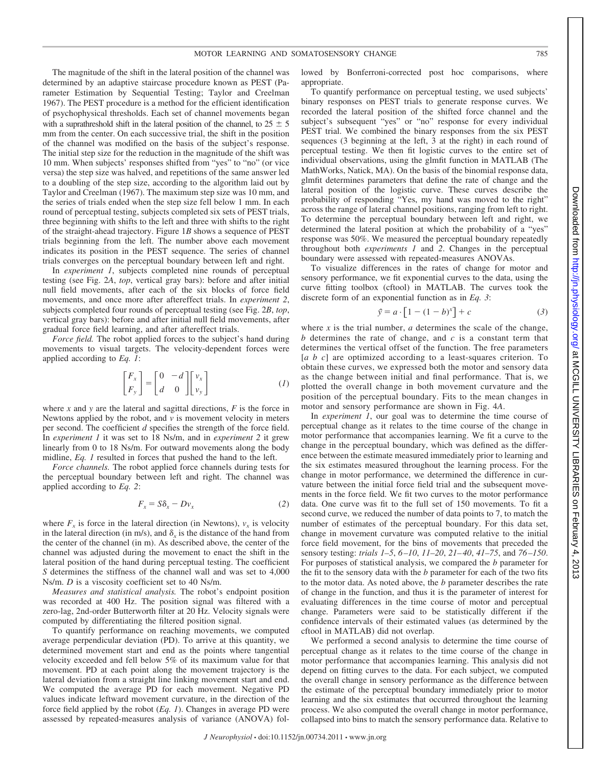The magnitude of the shift in the lateral position of the channel was determined by an adaptive staircase procedure known as PEST (Parameter Estimation by Sequential Testing; Taylor and Creelman 1967). The PEST procedure is a method for the efficient identification of psychophysical thresholds. Each set of channel movements began with a suprathreshold shift in the lateral position of the channel, to  $25 \pm 5$ mm from the center. On each successive trial, the shift in the position of the channel was modified on the basis of the subject's response. The initial step size for the reduction in the magnitude of the shift was 10 mm. When subjects' responses shifted from "yes" to "no" (or vice versa) the step size was halved, and repetitions of the same answer led to a doubling of the step size, according to the algorithm laid out by Taylor and Creelman (1967). The maximum step size was 10 mm, and the series of trials ended when the step size fell below 1 mm. In each round of perceptual testing, subjects completed six sets of PEST trials, three beginning with shifts to the left and three with shifts to the right of the straight-ahead trajectory. Figure 1*B* shows a sequence of PEST trials beginning from the left. The number above each movement indicates its position in the PEST sequence. The series of channel trials converges on the perceptual boundary between left and right.

In *experiment 1*, subjects completed nine rounds of perceptual testing (see Fig. 2*A*, *top*, vertical gray bars): before and after initial null field movements, after each of the six blocks of force field movements, and once more after aftereffect trials. In *experiment 2*, subjects completed four rounds of perceptual testing (see Fig. 2*B*, *top*, vertical gray bars): before and after initial null field movements, after gradual force field learning, and after aftereffect trials.

*Force field.* The robot applied forces to the subject's hand during movements to visual targets. The velocity-dependent forces were applied according to *Eq. 1*:

$$
\begin{bmatrix} F_x \\ F_y \end{bmatrix} = \begin{bmatrix} 0 & -d \\ d & 0 \end{bmatrix} \begin{bmatrix} v_x \\ v_y \end{bmatrix}
$$
 (1)

where *x* and *y* are the lateral and sagittal directions, *F* is the force in Newtons applied by the robot, and  $\nu$  is movement velocity in meters per second. The coefficient *d* specifies the strength of the force field. In *experiment 1* it was set to 18 Ns/m, and in *experiment 2* it grew linearly from 0 to 18 Ns/m. For outward movements along the body midline, *Eq. 1* resulted in forces that pushed the hand to the left.

*Force channels.* The robot applied force channels during tests for the perceptual boundary between left and right. The channel was applied according to *Eq. 2*:

$$
F_x = S\delta_x - Dv_x \tag{2}
$$

where  $F_r$  is force in the lateral direction (in Newtons),  $v_r$  is velocity in the lateral direction (in m/s), and  $\delta_r$  is the distance of the hand from the center of the channel (in m). As described above, the center of the channel was adjusted during the movement to enact the shift in the lateral position of the hand during perceptual testing. The coefficient *S* determines the stiffness of the channel wall and was set to 4,000 Ns/m. *D* is a viscosity coefficient set to 40 Ns/m.

*Measures and statistical analysis.* The robot's endpoint position was recorded at 400 Hz. The position signal was filtered with a zero-lag, 2nd-order Butterworth filter at 20 Hz. Velocity signals were computed by differentiating the filtered position signal.

To quantify performance on reaching movements, we computed average perpendicular deviation (PD). To arrive at this quantity, we determined movement start and end as the points where tangential velocity exceeded and fell below 5% of its maximum value for that movement. PD at each point along the movement trajectory is the lateral deviation from a straight line linking movement start and end. We computed the average PD for each movement. Negative PD values indicate leftward movement curvature, in the direction of the force field applied by the robot (*Eq. 1*). Changes in average PD were assessed by repeated-measures analysis of variance (ANOVA) followed by Bonferroni-corrected post hoc comparisons, where appropriate.

To quantify performance on perceptual testing, we used subjects' binary responses on PEST trials to generate response curves. We recorded the lateral position of the shifted force channel and the subject's subsequent "yes" or "no" response for every individual PEST trial. We combined the binary responses from the six PEST sequences (3 beginning at the left, 3 at the right) in each round of perceptual testing. We then fit logistic curves to the entire set of individual observations, using the glmfit function in MATLAB (The MathWorks, Natick, MA). On the basis of the binomial response data, glmfit determines parameters that define the rate of change and the lateral position of the logistic curve. These curves describe the probability of responding "Yes, my hand was moved to the right" across the range of lateral channel positions, ranging from left to right. To determine the perceptual boundary between left and right, we determined the lateral position at which the probability of a "yes" response was 50%. We measured the perceptual boundary repeatedly throughout both *experiments 1* and *2*. Changes in the perceptual boundary were assessed with repeated-measures ANOVAs.

To visualize differences in the rates of change for motor and sensory performance, we fit exponential curves to the data, using the curve fitting toolbox (cftool) in MATLAB. The curves took the discrete form of an exponential function as in *Eq. 3*:

$$
\hat{y} = a \cdot [1 - (1 - b)^{x}] + c \tag{3}
$$

where  $x$  is the trial number,  $a$  determines the scale of the change, *b* determines the rate of change, and *c* is a constant term that determines the vertical offset of the function. The free parameters [*a b c*] are optimized according to a least-squares criterion. To obtain these curves, we expressed both the motor and sensory data as the change between initial and final performance. That is, we plotted the overall change in both movement curvature and the position of the perceptual boundary. Fits to the mean changes in motor and sensory performance are shown in Fig. 4*A*.

In *experiment 1*, our goal was to determine the time course of perceptual change as it relates to the time course of the change in motor performance that accompanies learning. We fit a curve to the change in the perceptual boundary, which was defined as the difference between the estimate measured immediately prior to learning and the six estimates measured throughout the learning process. For the change in motor performance, we determined the difference in curvature between the initial force field trial and the subsequent movements in the force field. We fit two curves to the motor performance data. One curve was fit to the full set of 150 movements. To fit a second curve, we reduced the number of data points to 7, to match the number of estimates of the perceptual boundary. For this data set, change in movement curvature was computed relative to the initial force field movement, for the bins of movements that preceded the sensory testing: *trials 1–5*, *6–10*, *11–20*, *21–40*, *41–75*, and *76–150*. For purposes of statistical analysis, we compared the *b* parameter for the fit to the sensory data with the *b* parameter for each of the two fits to the motor data. As noted above, the *b* parameter describes the rate of change in the function, and thus it is the parameter of interest for evaluating differences in the time course of motor and perceptual change. Parameters were said to be statistically different if the confidence intervals of their estimated values (as determined by the cftool in MATLAB) did not overlap.

We performed a second analysis to determine the time course of perceptual change as it relates to the time course of the change in motor performance that accompanies learning. This analysis did not depend on fitting curves to the data. For each subject, we computed the overall change in sensory performance as the difference between the estimate of the perceptual boundary immediately prior to motor learning and the six estimates that occurred throughout the learning process. We also computed the overall change in motor performance, collapsed into bins to match the sensory performance data. Relative to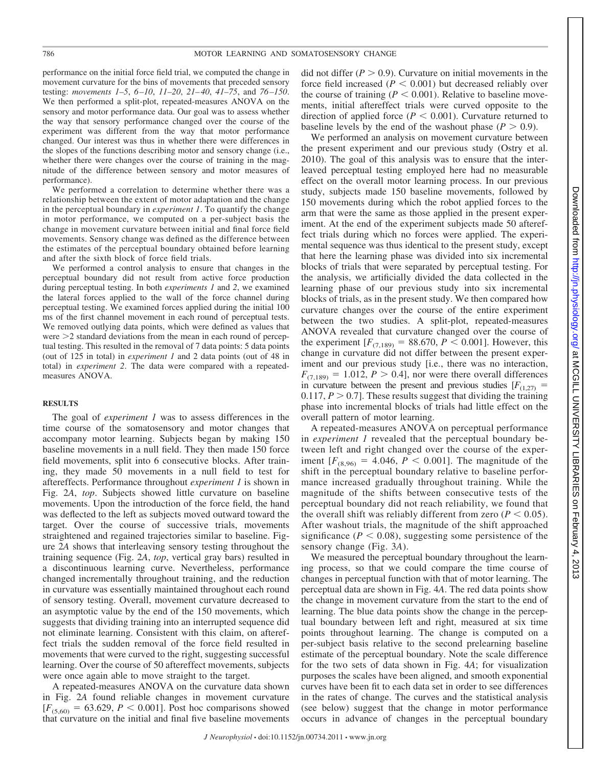performance on the initial force field trial, we computed the change in movement curvature for the bins of movements that preceded sensory testing: *movements 1–5*, *6–10*, *11–20*, *21–40*, *41–75*, and *76–150*. We then performed a split-plot, repeated-measures ANOVA on the sensory and motor performance data. Our goal was to assess whether the way that sensory performance changed over the course of the experiment was different from the way that motor performance changed. Our interest was thus in whether there were differences in the slopes of the functions describing motor and sensory change (i.e., whether there were changes over the course of training in the magnitude of the difference between sensory and motor measures of performance).

We performed a correlation to determine whether there was a relationship between the extent of motor adaptation and the change in the perceptual boundary in *experiment 1*. To quantify the change in motor performance, we computed on a per-subject basis the change in movement curvature between initial and final force field movements. Sensory change was defined as the difference between the estimates of the perceptual boundary obtained before learning and after the sixth block of force field trials.

We performed a control analysis to ensure that changes in the perceptual boundary did not result from active force production during perceptual testing. In both *experiments 1* and *2*, we examined the lateral forces applied to the wall of the force channel during perceptual testing. We examined forces applied during the initial 100 ms of the first channel movement in each round of perceptual tests. We removed outlying data points, which were defined as values that were  $\geq$  2 standard deviations from the mean in each round of perceptual testing. This resulted in the removal of 7 data points: 5 data points (out of 125 in total) in *experiment 1* and 2 data points (out of 48 in total) in *experiment 2*. The data were compared with a repeatedmeasures ANOVA.

#### **RESULTS**

The goal of *experiment 1* was to assess differences in the time course of the somatosensory and motor changes that accompany motor learning. Subjects began by making 150 baseline movements in a null field. They then made 150 force field movements, split into 6 consecutive blocks. After training, they made 50 movements in a null field to test for aftereffects. Performance throughout *experiment 1* is shown in Fig. 2*A*, *top*. Subjects showed little curvature on baseline movements. Upon the introduction of the force field, the hand was deflected to the left as subjects moved outward toward the target. Over the course of successive trials, movements straightened and regained trajectories similar to baseline. Figure 2*A* shows that interleaving sensory testing throughout the training sequence (Fig. 2*A*, *top*, vertical gray bars) resulted in a discontinuous learning curve. Nevertheless, performance changed incrementally throughout training, and the reduction in curvature was essentially maintained throughout each round of sensory testing. Overall, movement curvature decreased to an asymptotic value by the end of the 150 movements, which suggests that dividing training into an interrupted sequence did not eliminate learning. Consistent with this claim, on aftereffect trials the sudden removal of the force field resulted in movements that were curved to the right, suggesting successful learning. Over the course of 50 aftereffect movements, subjects were once again able to move straight to the target.

A repeated-measures ANOVA on the curvature data shown in Fig. 2*A* found reliable changes in movement curvature  $[F_{(5,60)} = 63.629, P < 0.001]$ . Post hoc comparisons showed that curvature on the initial and final five baseline movements

did not differ  $(P > 0.9)$ . Curvature on initial movements in the force field increased  $(P < 0.001)$  but decreased reliably over the course of training ( $P \le 0.001$ ). Relative to baseline movements, initial aftereffect trials were curved opposite to the direction of applied force ( $P < 0.001$ ). Curvature returned to baseline levels by the end of the washout phase  $(P > 0.9)$ .

We performed an analysis on movement curvature between the present experiment and our previous study (Ostry et al. 2010). The goal of this analysis was to ensure that the interleaved perceptual testing employed here had no measurable effect on the overall motor learning process. In our previous study, subjects made 150 baseline movements, followed by 150 movements during which the robot applied forces to the arm that were the same as those applied in the present experiment. At the end of the experiment subjects made 50 aftereffect trials during which no forces were applied. The experimental sequence was thus identical to the present study, except that here the learning phase was divided into six incremental blocks of trials that were separated by perceptual testing. For the analysis, we artificially divided the data collected in the learning phase of our previous study into six incremental blocks of trials, as in the present study. We then compared how curvature changes over the course of the entire experiment between the two studies. A split-plot, repeated-measures ANOVA revealed that curvature changed over the course of the experiment  $[F_{(7,189)} = 88.670, P \lt 0.001]$ . However, this change in curvature did not differ between the present experiment and our previous study [i.e., there was no interaction,  $F_{(7,189)} = 1.012, P > 0.4$ ], nor were there overall differences in curvature between the present and previous studies  $[F(1,27)]$ 0.117,  $P > 0.7$ ]. These results suggest that dividing the training phase into incremental blocks of trials had little effect on the overall pattern of motor learning.

A repeated-measures ANOVA on perceptual performance in *experiment 1* revealed that the perceptual boundary between left and right changed over the course of the experiment  $[F_{(8,96)} = 4.046, P \le 0.001]$ . The magnitude of the shift in the perceptual boundary relative to baseline performance increased gradually throughout training. While the magnitude of the shifts between consecutive tests of the perceptual boundary did not reach reliability, we found that the overall shift was reliably different from zero  $(P < 0.05)$ . After washout trials, the magnitude of the shift approached significance ( $P < 0.08$ ), suggesting some persistence of the sensory change (Fig. 3*A*).

We measured the perceptual boundary throughout the learning process, so that we could compare the time course of changes in perceptual function with that of motor learning. The perceptual data are shown in Fig. 4*A*. The red data points show the change in movement curvature from the start to the end of learning. The blue data points show the change in the perceptual boundary between left and right, measured at six time points throughout learning. The change is computed on a per-subject basis relative to the second prelearning baseline estimate of the perceptual boundary. Note the scale difference for the two sets of data shown in Fig. 4*A*; for visualization purposes the scales have been aligned, and smooth exponential curves have been fit to each data set in order to see differences in the rates of change. The curves and the statistical analysis (see below) suggest that the change in motor performance occurs in advance of changes in the perceptual boundary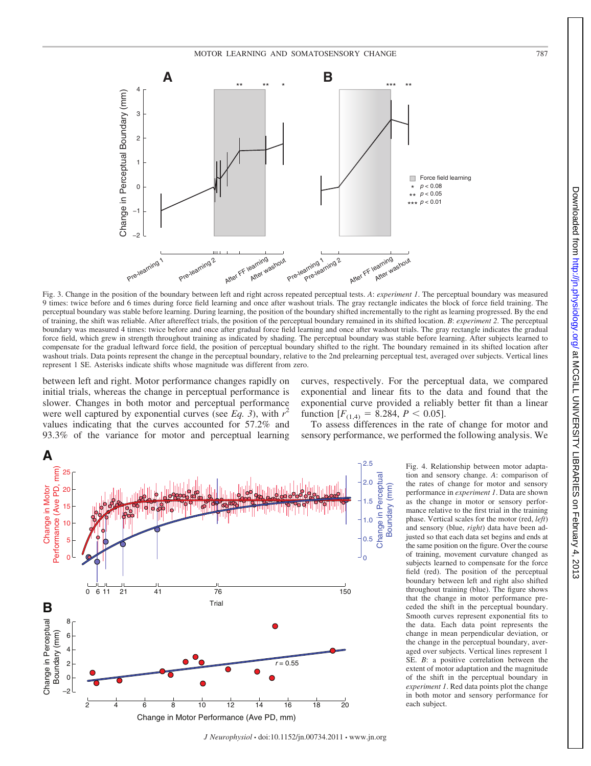

Fig. 3. Change in the position of the boundary between left and right across repeated perceptual tests. *A*: *experiment 1*. The perceptual boundary was measured 9 times: twice before and 6 times during force field learning and once after washout trials. The gray rectangle indicates the block of force field training. The perceptual boundary was stable before learning. During learning, the position of the boundary shifted incrementally to the right as learning progressed. By the end of training, the shift was reliable. After aftereffect trials, the position of the perceptual boundary remained in its shifted location. *B*: *experiment 2*. The perceptual boundary was measured 4 times: twice before and once after gradual force field learning and once after washout trials. The gray rectangle indicates the gradual force field, which grew in strength throughout training as indicated by shading. The perceptual boundary was stable before learning. After subjects learned to compensate for the gradual leftward force field, the position of perceptual boundary shifted to the right. The boundary remained in its shifted location after washout trials. Data points represent the change in the perceptual boundary, relative to the 2nd prelearning perceptual test, averaged over subjects. Vertical lines represent 1 SE. Asterisks indicate shifts whose magnitude was different from zero.

between left and right. Motor performance changes rapidly on initial trials, whereas the change in perceptual performance is slower. Changes in both motor and perceptual performance were well captured by exponential curves (see  $Eq. 3$ ), with  $r^2$ values indicating that the curves accounted for 57.2% and 93.3% of the variance for motor and perceptual learning curves, respectively. For the perceptual data, we compared exponential and linear fits to the data and found that the exponential curve provided a reliably better fit than a linear function  $[F_{(1,4)} = 8.284, P < 0.05]$ .

To assess differences in the rate of change for motor and sensory performance, we performed the following analysis. We



Fig. 4. Relationship between motor adaptation and sensory change. *A*: comparison of the rates of change for motor and sensory performance in *experiment 1*. Data are shown as the change in motor or sensory performance relative to the first trial in the training phase. Vertical scales for the motor (red, *left*) and sensory (blue, *right*) data have been adjusted so that each data set begins and ends at the same position on the figure. Over the course of training, movement curvature changed as subjects learned to compensate for the force field (red). The position of the perceptual boundary between left and right also shifted throughout training (blue). The figure shows that the change in motor performance preceded the shift in the perceptual boundary. Smooth curves represent exponential fits to the data. Each data point represents the change in mean perpendicular deviation, or the change in the perceptual boundary, averaged over subjects. Vertical lines represent 1 SE. *B*: a positive correlation between the extent of motor adaptation and the magnitude of the shift in the perceptual boundary in *experiment 1*. Red data points plot the change in both motor and sensory performance for each subject.

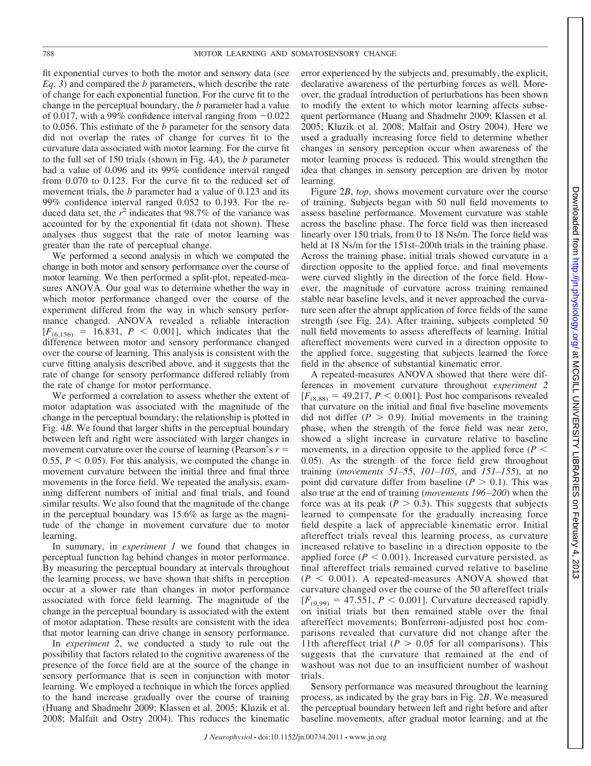fit exponential curves to both the motor and sensory data (see *Eq. 3*) and compared the *b* parameters, which describe the rate of change for each exponential function. For the curve fit to the change in the perceptual boundary, the *b* parameter had a value of 0.017, with a 99% confidence interval ranging from  $-0.022$ to 0.056. This estimate of the *b* parameter for the sensory data did not overlap the rates of change for curves fit to the curvature data associated with motor learning. For the curve fit to the full set of 150 trials (shown in Fig. 4*A*), the *b* parameter had a value of 0.096 and its 99% confidence interval ranged from 0.070 to 0.123. For the curve fit to the reduced set of movement trials, the *b* parameter had a value of 0.123 and its 99% confidence interval ranged 0.052 to 0.193. For the reduced data set, the  $r^2$  indicates that 98.7% of the variance was accounted for by the exponential fit (data not shown). These analyses thus suggest that the rate of motor learning was greater than the rate of perceptual change.

We performed a second analysis in which we computed the change in both motor and sensory performance over the course of motor learning. We then performed a split-plot, repeated-measures ANOVA. Our goal was to determine whether the way in which motor performance changed over the course of the experiment differed from the way in which sensory performance changed. ANOVA revealed a reliable interaction  $[F_{(6,156)} = 16.831, P \le 0.001]$ , which indicates that the difference between motor and sensory performance changed over the course of learning. This analysis is consistent with the curve fitting analysis described above, and it suggests that the rate of change for sensory performance differed reliably from the rate of change for motor performance.

We performed a correlation to assess whether the extent of motor adaptation was associated with the magnitude of the change in the perceptual boundary; the relationship is plotted in Fig. 4*B*. We found that larger shifts in the perceptual boundary between left and right were associated with larger changes in movement curvature over the course of learning (Pearson's *r* 0.55,  $P < 0.05$ ). For this analysis, we computed the change in movement curvature between the initial three and final three movements in the force field. We repeated the analysis, examining different numbers of initial and final trials, and found similar results. We also found that the magnitude of the change in the perceptual boundary was 15.6% as large as the magnitude of the change in movement curvature due to motor learning.

In summary, in *experiment 1* we found that changes in perceptual function lag behind changes in motor performance. By measuring the perceptual boundary at intervals throughout the learning process, we have shown that shifts in perception occur at a slower rate than changes in motor performance associated with force field learning. The magnitude of the change in the perceptual boundary is associated with the extent of motor adaptation. These results are consistent with the idea that motor learning can drive change in sensory performance.

In *experiment 2*, we conducted a study to rule out the possibility that factors related to the cognitive awareness of the presence of the force field are at the source of the change in sensory performance that is seen in conjunction with motor learning. We employed a technique in which the forces applied to the hand increase gradually over the course of training (Huang and Shadmehr 2009; Klassen et al. 2005; Kluzik et al. 2008; Malfait and Ostry 2004). This reduces the kinematic

error experienced by the subjects and, presumably, the explicit, declarative awareness of the perturbing forces as well. Moreover, the gradual introduction of perturbations has been shown to modify the extent to which motor learning affects subsequent performance (Huang and Shadmehr 2009; Klassen et al. 2005; Kluzik et al. 2008; Malfait and Ostry 2004). Here we used a gradually increasing force field to determine whether changes in sensory perception occur when awareness of the motor learning process is reduced. This would strengthen the idea that changes in sensory perception are driven by motor learning.

Figure 2*B*, *top*, shows movement curvature over the course of training. Subjects began with 50 null field movements to assess baseline performance. Movement curvature was stable across the baseline phase. The force field was then increased linearly over 150 trials, from 0 to 18 Ns/m. The force field was held at 18 Ns/m for the 151st–200th trials in the training phase. Across the training phase, initial trials showed curvature in a direction opposite to the applied force, and final movements were curved slightly in the direction of the force field. However, the magnitude of curvature across training remained stable near baseline levels, and it never approached the curvature seen after the abrupt application of force fields of the same strength (see Fig. 2*A*). After training, subjects completed 50 null field movements to assess aftereffects of learning. Initial aftereffect movements were curved in a direction opposite to the applied force, suggesting that subjects learned the force field in the absence of substantial kinematic error.

A repeated-measures ANOVA showed that there were differences in movement curvature throughout *experiment 2*  $[F_{(8,88)} = 49.217, P \le 0.001]$ . Post hoc comparisons revealed that curvature on the initial and final five baseline movements did not differ  $(P > 0.9)$ . Initial movements in the training phase, when the strength of the force field was near zero, showed a slight increase in curvature relative to baseline movements, in a direction opposite to the applied force  $(P \leq$ 0.05). As the strength of the force field grew throughout training (*movements 51–55*, *101–105*, and *151–155*), at no point did curvature differ from baseline  $(P > 0.1)$ . This was also true at the end of training (*movements 196–200*) when the force was at its peak  $(P > 0.3)$ . This suggests that subjects learned to compensate for the gradually increasing force field despite a lack of appreciable kinematic error. Initial aftereffect trials reveal this learning process, as curvature increased relative to baseline in a direction opposite to the applied force ( $P < 0.001$ ). Increased curvature persisted, as final aftereffect trials remained curved relative to baseline  $(P < 0.001)$ . A repeated-measures ANOVA showed that curvature changed over the course of the 50 aftereffect trials  $[F_{(9,99)} = 47.551, P \le 0.001]$ . Curvature decreased rapidly on initial trials but then remained stable over the final aftereffect movements; Bonferroni-adjusted post hoc comparisons revealed that curvature did not change after the 11th aftereffect trial ( $P > 0.05$  for all comparisons). This suggests that the curvature that remained at the end of washout was not due to an insufficient number of washout trials.

Sensory performance was measured throughout the learning process, as indicated by the gray bars in Fig. 2*B*. We measured the perceptual boundary between left and right before and after baseline movements, after gradual motor learning, and at the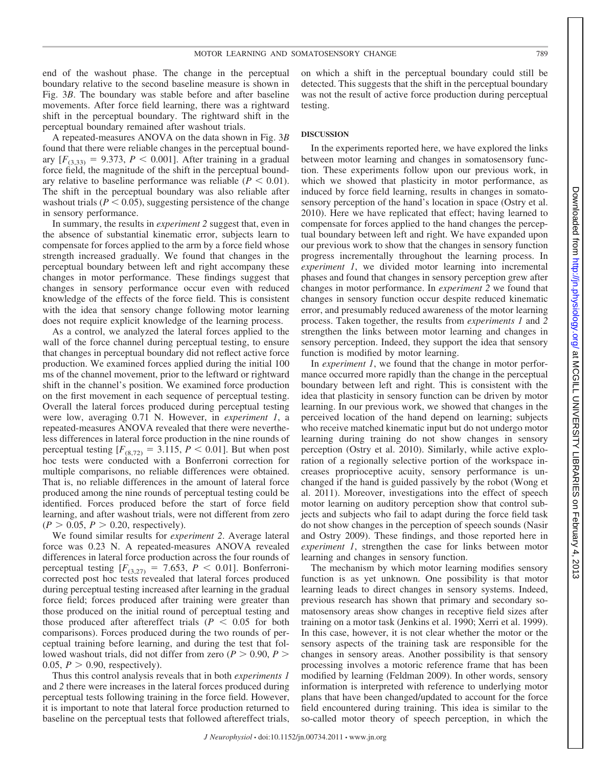end of the washout phase. The change in the perceptual boundary relative to the second baseline measure is shown in Fig. 3*B*. The boundary was stable before and after baseline movements. After force field learning, there was a rightward shift in the perceptual boundary. The rightward shift in the perceptual boundary remained after washout trials.

A repeated-measures ANOVA on the data shown in Fig. 3*B* found that there were reliable changes in the perceptual boundary  $[F_{(3,33)} = 9.373, P < 0.001]$ . After training in a gradual force field, the magnitude of the shift in the perceptual boundary relative to baseline performance was reliable  $(P < 0.01)$ . The shift in the perceptual boundary was also reliable after washout trials  $(P < 0.05)$ , suggesting persistence of the change in sensory performance.

In summary, the results in *experiment 2* suggest that, even in the absence of substantial kinematic error, subjects learn to compensate for forces applied to the arm by a force field whose strength increased gradually. We found that changes in the perceptual boundary between left and right accompany these changes in motor performance. These findings suggest that changes in sensory performance occur even with reduced knowledge of the effects of the force field. This is consistent with the idea that sensory change following motor learning does not require explicit knowledge of the learning process.

As a control, we analyzed the lateral forces applied to the wall of the force channel during perceptual testing, to ensure that changes in perceptual boundary did not reflect active force production. We examined forces applied during the initial 100 ms of the channel movement, prior to the leftward or rightward shift in the channel's position. We examined force production on the first movement in each sequence of perceptual testing. Overall the lateral forces produced during perceptual testing were low, averaging 0.71 N. However, in *experiment 1*, a repeated-measures ANOVA revealed that there were nevertheless differences in lateral force production in the nine rounds of perceptual testing  $[F_{(8,72)} = 3.115, P \le 0.01]$ . But when post hoc tests were conducted with a Bonferroni correction for multiple comparisons, no reliable differences were obtained. That is, no reliable differences in the amount of lateral force produced among the nine rounds of perceptual testing could be identified. Forces produced before the start of force field learning, and after washout trials, were not different from zero  $(P > 0.05, P > 0.20,$  respectively).

We found similar results for *experiment 2*. Average lateral force was 0.23 N. A repeated-measures ANOVA revealed differences in lateral force production across the four rounds of perceptual testing  $[F_{(3,27)} = 7.653, P \le 0.01]$ . Bonferronicorrected post hoc tests revealed that lateral forces produced during perceptual testing increased after learning in the gradual force field; forces produced after training were greater than those produced on the initial round of perceptual testing and those produced after aftereffect trials  $(P \leq 0.05$  for both comparisons). Forces produced during the two rounds of perceptual training before learning, and during the test that followed washout trials, did not differ from zero ( $P > 0.90$ ,  $P >$ 0.05,  $P > 0.90$ , respectively).

Thus this control analysis reveals that in both *experiments 1* and *2* there were increases in the lateral forces produced during perceptual tests following training in the force field. However, it is important to note that lateral force production returned to baseline on the perceptual tests that followed aftereffect trials,

on which a shift in the perceptual boundary could still be detected. This suggests that the shift in the perceptual boundary was not the result of active force production during perceptual testing.

#### **DISCUSSION**

In the experiments reported here, we have explored the links between motor learning and changes in somatosensory function. These experiments follow upon our previous work, in which we showed that plasticity in motor performance, as induced by force field learning, results in changes in somatosensory perception of the hand's location in space (Ostry et al. 2010). Here we have replicated that effect; having learned to compensate for forces applied to the hand changes the perceptual boundary between left and right. We have expanded upon our previous work to show that the changes in sensory function progress incrementally throughout the learning process. In *experiment 1*, we divided motor learning into incremental phases and found that changes in sensory perception grew after changes in motor performance. In *experiment 2* we found that changes in sensory function occur despite reduced kinematic error, and presumably reduced awareness of the motor learning process. Taken together, the results from *experiments 1* and *2* strengthen the links between motor learning and changes in sensory perception. Indeed, they support the idea that sensory function is modified by motor learning.

In *experiment 1*, we found that the change in motor performance occurred more rapidly than the change in the perceptual boundary between left and right. This is consistent with the idea that plasticity in sensory function can be driven by motor learning. In our previous work, we showed that changes in the perceived location of the hand depend on learning; subjects who receive matched kinematic input but do not undergo motor learning during training do not show changes in sensory perception (Ostry et al. 2010). Similarly, while active exploration of a regionally selective portion of the workspace increases proprioceptive acuity, sensory performance is unchanged if the hand is guided passively by the robot (Wong et al. 2011). Moreover, investigations into the effect of speech motor learning on auditory perception show that control subjects and subjects who fail to adapt during the force field task do not show changes in the perception of speech sounds (Nasir and Ostry 2009). These findings, and those reported here in *experiment 1*, strengthen the case for links between motor learning and changes in sensory function.

The mechanism by which motor learning modifies sensory function is as yet unknown. One possibility is that motor learning leads to direct changes in sensory systems. Indeed, previous research has shown that primary and secondary somatosensory areas show changes in receptive field sizes after training on a motor task (Jenkins et al. 1990; Xerri et al. 1999). In this case, however, it is not clear whether the motor or the sensory aspects of the training task are responsible for the changes in sensory areas. Another possibility is that sensory processing involves a motoric reference frame that has been modified by learning (Feldman 2009). In other words, sensory information is interpreted with reference to underlying motor plans that have been changed/updated to account for the force field encountered during training. This idea is similar to the so-called motor theory of speech perception, in which the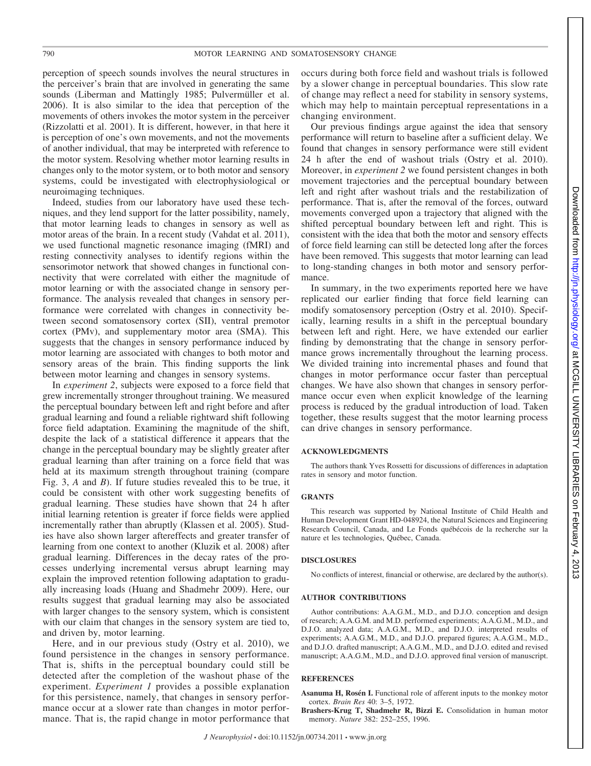perception of speech sounds involves the neural structures in the perceiver's brain that are involved in generating the same sounds (Liberman and Mattingly 1985; Pulvermüller et al. 2006). It is also similar to the idea that perception of the movements of others invokes the motor system in the perceiver (Rizzolatti et al. 2001). It is different, however, in that here it is perception of one's own movements, and not the movements of another individual, that may be interpreted with reference to the motor system. Resolving whether motor learning results in changes only to the motor system, or to both motor and sensory systems, could be investigated with electrophysiological or neuroimaging techniques.

Indeed, studies from our laboratory have used these techniques, and they lend support for the latter possibility, namely, that motor learning leads to changes in sensory as well as motor areas of the brain. In a recent study (Vahdat et al. 2011), we used functional magnetic resonance imaging (fMRI) and resting connectivity analyses to identify regions within the sensorimotor network that showed changes in functional connectivity that were correlated with either the magnitude of motor learning or with the associated change in sensory performance. The analysis revealed that changes in sensory performance were correlated with changes in connectivity between second somatosensory cortex (SII), ventral premotor cortex (PMv), and supplementary motor area (SMA). This suggests that the changes in sensory performance induced by motor learning are associated with changes to both motor and sensory areas of the brain. This finding supports the link between motor learning and changes in sensory systems.

In *experiment 2*, subjects were exposed to a force field that grew incrementally stronger throughout training. We measured the perceptual boundary between left and right before and after gradual learning and found a reliable rightward shift following force field adaptation. Examining the magnitude of the shift, despite the lack of a statistical difference it appears that the change in the perceptual boundary may be slightly greater after gradual learning than after training on a force field that was held at its maximum strength throughout training (compare Fig. 3, *A* and *B*). If future studies revealed this to be true, it could be consistent with other work suggesting benefits of gradual learning. These studies have shown that 24 h after initial learning retention is greater if force fields were applied incrementally rather than abruptly (Klassen et al. 2005). Studies have also shown larger aftereffects and greater transfer of learning from one context to another (Kluzik et al. 2008) after gradual learning. Differences in the decay rates of the processes underlying incremental versus abrupt learning may explain the improved retention following adaptation to gradually increasing loads (Huang and Shadmehr 2009). Here, our results suggest that gradual learning may also be associated with larger changes to the sensory system, which is consistent with our claim that changes in the sensory system are tied to, and driven by, motor learning.

Here, and in our previous study (Ostry et al. 2010), we found persistence in the changes in sensory performance. That is, shifts in the perceptual boundary could still be detected after the completion of the washout phase of the experiment. *Experiment 1* provides a possible explanation for this persistence, namely, that changes in sensory performance occur at a slower rate than changes in motor performance. That is, the rapid change in motor performance that occurs during both force field and washout trials is followed by a slower change in perceptual boundaries. This slow rate of change may reflect a need for stability in sensory systems, which may help to maintain perceptual representations in a changing environment.

Our previous findings argue against the idea that sensory performance will return to baseline after a sufficient delay. We found that changes in sensory performance were still evident 24 h after the end of washout trials (Ostry et al. 2010). Moreover, in *experiment 2* we found persistent changes in both movement trajectories and the perceptual boundary between left and right after washout trials and the restabilization of performance. That is, after the removal of the forces, outward movements converged upon a trajectory that aligned with the shifted perceptual boundary between left and right. This is consistent with the idea that both the motor and sensory effects of force field learning can still be detected long after the forces have been removed. This suggests that motor learning can lead to long-standing changes in both motor and sensory performance.

In summary, in the two experiments reported here we have replicated our earlier finding that force field learning can modify somatosensory perception (Ostry et al. 2010). Specifically, learning results in a shift in the perceptual boundary between left and right. Here, we have extended our earlier finding by demonstrating that the change in sensory performance grows incrementally throughout the learning process. We divided training into incremental phases and found that changes in motor performance occur faster than perceptual changes. We have also shown that changes in sensory performance occur even when explicit knowledge of the learning process is reduced by the gradual introduction of load. Taken together, these results suggest that the motor learning process can drive changes in sensory performance.

#### **ACKNOWLEDGMENTS**

The authors thank Yves Rossetti for discussions of differences in adaptation rates in sensory and motor function.

### **GRANTS**

This research was supported by National Institute of Child Health and Human Development Grant HD-048924, the Natural Sciences and Engineering Research Council, Canada, and Le Fonds québécois de la recherche sur la nature et les technologies, Québec, Canada.

#### **DISCLOSURES**

No conflicts of interest, financial or otherwise, are declared by the author(s).

#### **AUTHOR CONTRIBUTIONS**

Author contributions: A.A.G.M., M.D., and D.J.O. conception and design of research; A.A.G.M. and M.D. performed experiments; A.A.G.M., M.D., and D.J.O. analyzed data; A.A.G.M., M.D., and D.J.O. interpreted results of experiments; A.A.G.M., M.D., and D.J.O. prepared figures; A.A.G.M., M.D., and D.J.O. drafted manuscript; A.A.G.M., M.D., and D.J.O. edited and revised manuscript; A.A.G.M., M.D., and D.J.O. approved final version of manuscript.

#### **REFERENCES**

**Asanuma H, Rosén I.** Functional role of afferent inputs to the monkey motor cortex. *Brain Res* 40: 3–5, 1972.

**Brashers-Krug T, Shadmehr R, Bizzi E.** Consolidation in human motor memory. *Nature* 382: 252–255, 1996.